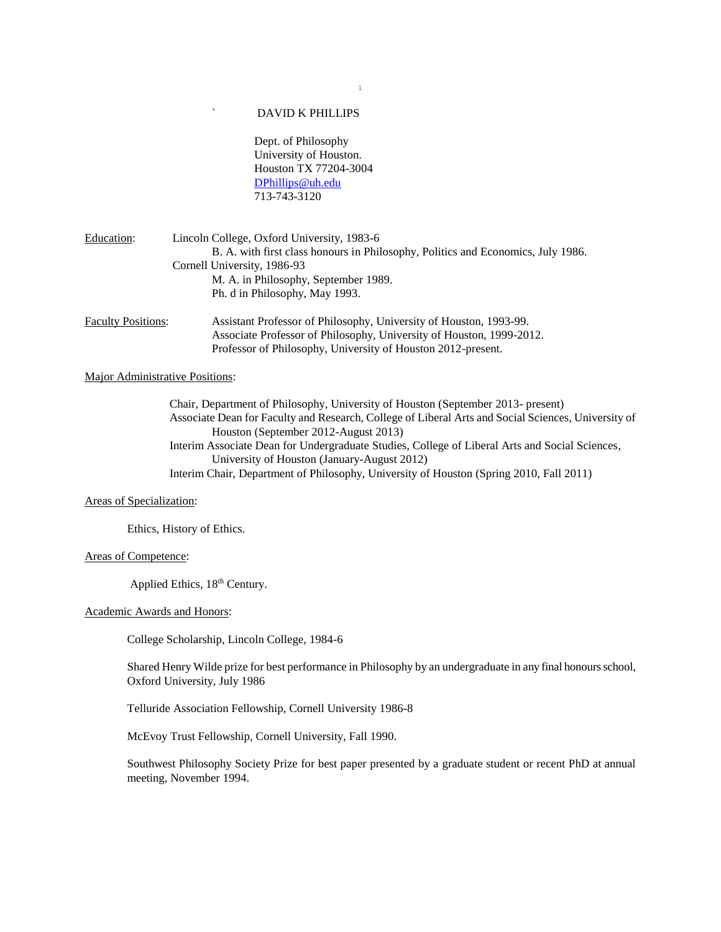# ` DAVID K PHILLIPS

Dept. of Philosophy University of Houston. Houston TX 77204-3004 [DPhillips@uh.edu](mailto:DPhillips@uh.edu) 713-743-3120

| Education:                | Lincoln College, Oxford University, 1983-6                                       |
|---------------------------|----------------------------------------------------------------------------------|
|                           | B. A. with first class honours in Philosophy, Politics and Economics, July 1986. |
|                           | Cornell University, 1986-93                                                      |
|                           | M. A. in Philosophy, September 1989.                                             |
|                           | Ph. d in Philosophy, May 1993.                                                   |
| <b>Eaculty Positions:</b> | Assistant Professor of Philosophy Huiversity of Houston 1993-99                  |

Faculty Positions: Assistant Professor of Philosophy, University of Houston, 1993-99. Associate Professor of Philosophy, University of Houston, 1999-2012. Professor of Philosophy, University of Houston 2012-present.

# Major Administrative Positions:

Chair, Department of Philosophy, University of Houston (September 2013- present) Associate Dean for Faculty and Research, College of Liberal Arts and Social Sciences, University of Houston (September 2012-August 2013) Interim Associate Dean for Undergraduate Studies, College of Liberal Arts and Social Sciences, University of Houston (January-August 2012) Interim Chair, Department of Philosophy, University of Houston (Spring 2010, Fall 2011)

### Areas of Specialization:

Ethics, History of Ethics.

### Areas of Competence:

Applied Ethics,  $18<sup>th</sup>$  Century.

#### Academic Awards and Honors:

College Scholarship, Lincoln College, 1984-6

Shared Henry Wilde prize for best performance in Philosophy by an undergraduate in any final honours school, Oxford University, July 1986

Telluride Association Fellowship, Cornell University 1986-8

McEvoy Trust Fellowship, Cornell University, Fall 1990.

Southwest Philosophy Society Prize for best paper presented by a graduate student or recent PhD at annual meeting, November 1994.

# 1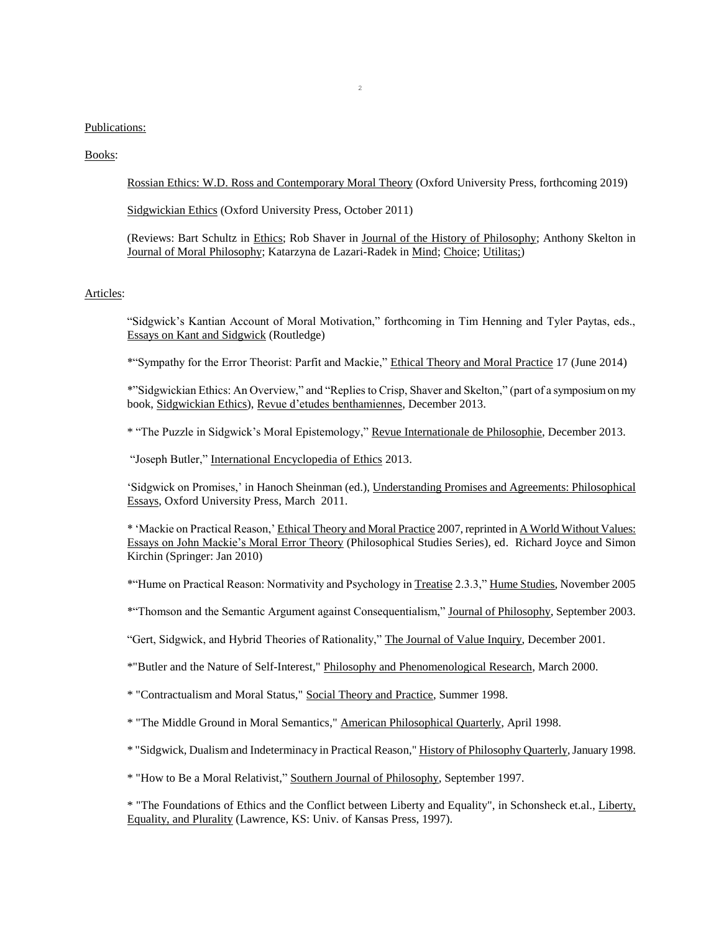### Publications:

### Books:

Rossian Ethics: W.D. Ross and Contemporary Moral Theory (Oxford University Press, forthcoming 2019)

Sidgwickian Ethics (Oxford University Press, October 2011)

(Reviews: Bart Schultz in Ethics; Rob Shaver in Journal of the History of Philosophy; Anthony Skelton in Journal of Moral Philosophy; Katarzyna de Lazari-Radek in Mind; Choice; Utilitas;)

# Articles:

"Sidgwick's Kantian Account of Moral Motivation," forthcoming in Tim Henning and Tyler Paytas, eds., Essays on Kant and Sidgwick (Routledge)

\*"Sympathy for the Error Theorist: Parfit and Mackie," Ethical Theory and Moral Practice 17 (June 2014)

\*"Sidgwickian Ethics: An Overview," and "Replies to Crisp, Shaver and Skelton," (part of a symposium on my book, Sidgwickian Ethics), Revue d'etudes benthamiennes, December 2013.

\* "The Puzzle in Sidgwick's Moral Epistemology," Revue Internationale de Philosophie, December 2013.

"Joseph Butler," International Encyclopedia of Ethics 2013.

'Sidgwick on Promises,' in Hanoch Sheinman (ed.), Understanding Promises and Agreements: Philosophical Essays, Oxford University Press, March 2011.

\* 'Mackie on Practical Reason,' Ethical Theory and Moral Practice 2007, reprinted in A World Without Values: Essays on John Mackie's Moral Error Theory (Philosophical Studies Series), ed. Richard Joyce and Simon Kirchin (Springer: Jan 2010)

\*"Hume on Practical Reason: Normativity and Psychology in Treatise 2.3.3," Hume Studies, November 2005

\*"Thomson and the Semantic Argument against Consequentialism," Journal of Philosophy, September 2003.

"Gert, Sidgwick, and Hybrid Theories of Rationality," The Journal of Value Inquiry, December 2001.

\*"Butler and the Nature of Self-Interest," Philosophy and Phenomenological Research, March 2000.

\* "Contractualism and Moral Status," Social Theory and Practice, Summer 1998.

\* "The Middle Ground in Moral Semantics," American Philosophical Quarterly, April 1998.

\* "Sidgwick, Dualism and Indeterminacy in Practical Reason," History of Philosophy Quarterly, January 1998.

\* "How to Be a Moral Relativist," Southern Journal of Philosophy, September 1997.

\* "The Foundations of Ethics and the Conflict between Liberty and Equality", in Schonsheck et.al., Liberty, Equality, and Plurality (Lawrence, KS: Univ. of Kansas Press, 1997).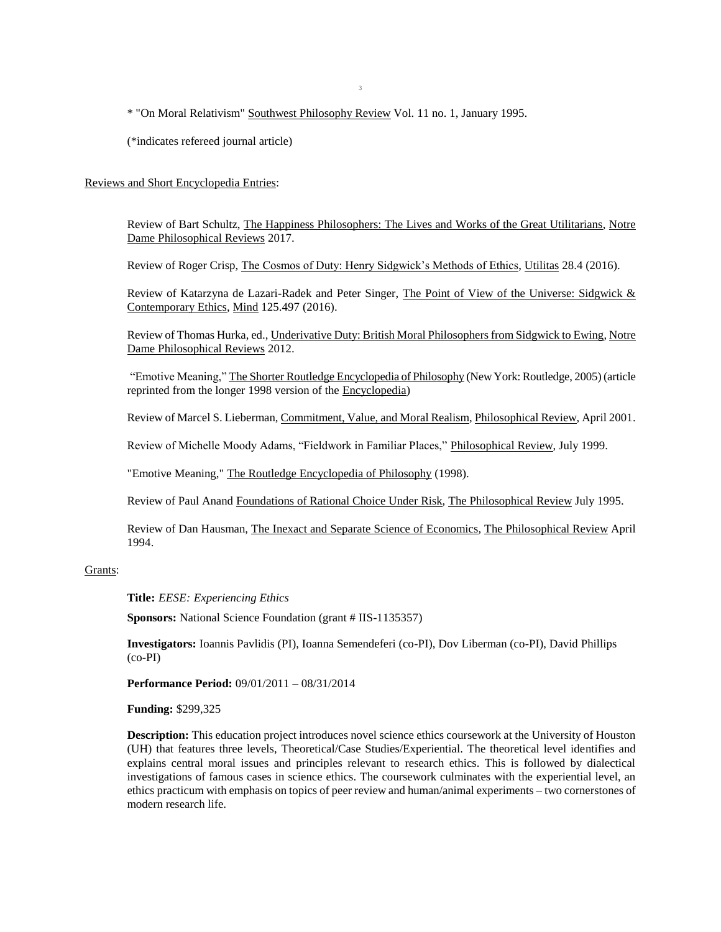\* "On Moral Relativism" Southwest Philosophy Review Vol. 11 no. 1, January 1995.

(\*indicates refereed journal article)

## Reviews and Short Encyclopedia Entries:

Review of Bart Schultz, The Happiness Philosophers: The Lives and Works of the Great Utilitarians, Notre Dame Philosophical Reviews 2017.

Review of Roger Crisp, The Cosmos of Duty: Henry Sidgwick's Methods of Ethics, Utilitas 28.4 (2016).

Review of Katarzyna de Lazari-Radek and Peter Singer, The Point of View of the Universe: Sidgwick & Contemporary Ethics, Mind 125.497 (2016).

Review of Thomas Hurka, ed., Underivative Duty: British Moral Philosophers from Sidgwick to Ewing, Notre Dame Philosophical Reviews 2012.

"Emotive Meaning," The Shorter Routledge Encyclopedia of Philosophy (New York: Routledge, 2005) (article reprinted from the longer 1998 version of the Encyclopedia)

Review of Marcel S. Lieberman, Commitment, Value, and Moral Realism, Philosophical Review, April 2001.

Review of Michelle Moody Adams, "Fieldwork in Familiar Places," Philosophical Review, July 1999.

"Emotive Meaning," The Routledge Encyclopedia of Philosophy (1998).

Review of Paul Anand Foundations of Rational Choice Under Risk, The Philosophical Review July 1995.

Review of Dan Hausman, The Inexact and Separate Science of Economics, The Philosophical Review April 1994.

### Grants:

**Title:** *EESE: Experiencing Ethics*

**Sponsors:** National Science Foundation (grant # IIS-1135357)

**Investigators:** Ioannis Pavlidis (PI), Ioanna Semendeferi (co-PI), Dov Liberman (co-PI), David Phillips (co-PI)

**Performance Period:** 09/01/2011 – 08/31/2014

**Funding:** \$299,325

**Description:** This education project introduces novel science ethics coursework at the University of Houston (UH) that features three levels, Theoretical/Case Studies/Experiential. The theoretical level identifies and explains central moral issues and principles relevant to research ethics. This is followed by dialectical investigations of famous cases in science ethics. The coursework culminates with the experiential level, an ethics practicum with emphasis on topics of peer review and human/animal experiments – two cornerstones of modern research life.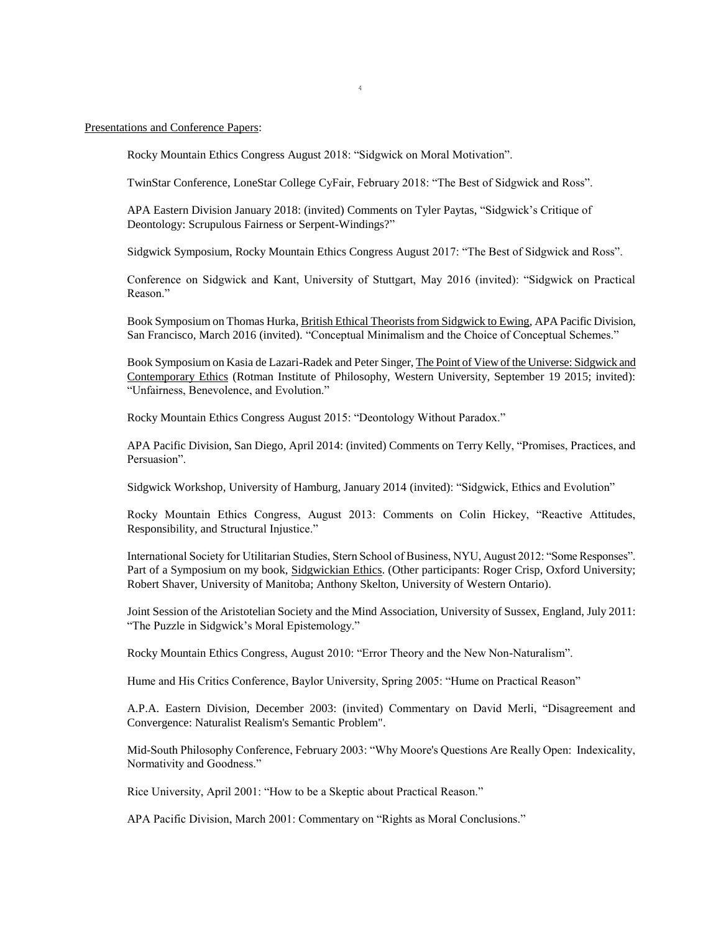#### Presentations and Conference Papers:

Rocky Mountain Ethics Congress August 2018: "Sidgwick on Moral Motivation".

TwinStar Conference, LoneStar College CyFair, February 2018: "The Best of Sidgwick and Ross".

APA Eastern Division January 2018: (invited) Comments on Tyler Paytas, "Sidgwick's Critique of Deontology: Scrupulous Fairness or Serpent-Windings?"

Sidgwick Symposium, Rocky Mountain Ethics Congress August 2017: "The Best of Sidgwick and Ross".

Conference on Sidgwick and Kant, University of Stuttgart, May 2016 (invited): "Sidgwick on Practical Reason."

Book Symposium on Thomas Hurka, British Ethical Theorists from Sidgwick to Ewing, APA Pacific Division, San Francisco, March 2016 (invited). "Conceptual Minimalism and the Choice of Conceptual Schemes."

Book Symposium on Kasia de Lazari-Radek and Peter Singer, The Point of View of the Universe: Sidgwick and Contemporary Ethics (Rotman Institute of Philosophy, Western University, September 19 2015; invited): "Unfairness, Benevolence, and Evolution."

Rocky Mountain Ethics Congress August 2015: "Deontology Without Paradox."

APA Pacific Division, San Diego, April 2014: (invited) Comments on Terry Kelly, "Promises, Practices, and Persuasion".

Sidgwick Workshop, University of Hamburg, January 2014 (invited): "Sidgwick, Ethics and Evolution"

Rocky Mountain Ethics Congress, August 2013: Comments on Colin Hickey, "Reactive Attitudes, Responsibility, and Structural Injustice."

International Society for Utilitarian Studies, Stern School of Business, NYU, August 2012: "Some Responses". Part of a Symposium on my book, Sidgwickian Ethics. (Other participants: Roger Crisp, Oxford University; Robert Shaver, University of Manitoba; Anthony Skelton, University of Western Ontario).

Joint Session of the Aristotelian Society and the Mind Association, University of Sussex, England, July 2011: "The Puzzle in Sidgwick's Moral Epistemology."

Rocky Mountain Ethics Congress, August 2010: "Error Theory and the New Non-Naturalism".

Hume and His Critics Conference, Baylor University, Spring 2005: "Hume on Practical Reason"

A.P.A. Eastern Division, December 2003: (invited) Commentary on David Merli, "Disagreement and Convergence: Naturalist Realism's Semantic Problem".

Mid-South Philosophy Conference, February 2003: "Why Moore's Questions Are Really Open: Indexicality, Normativity and Goodness."

Rice University, April 2001: "How to be a Skeptic about Practical Reason."

APA Pacific Division, March 2001: Commentary on "Rights as Moral Conclusions."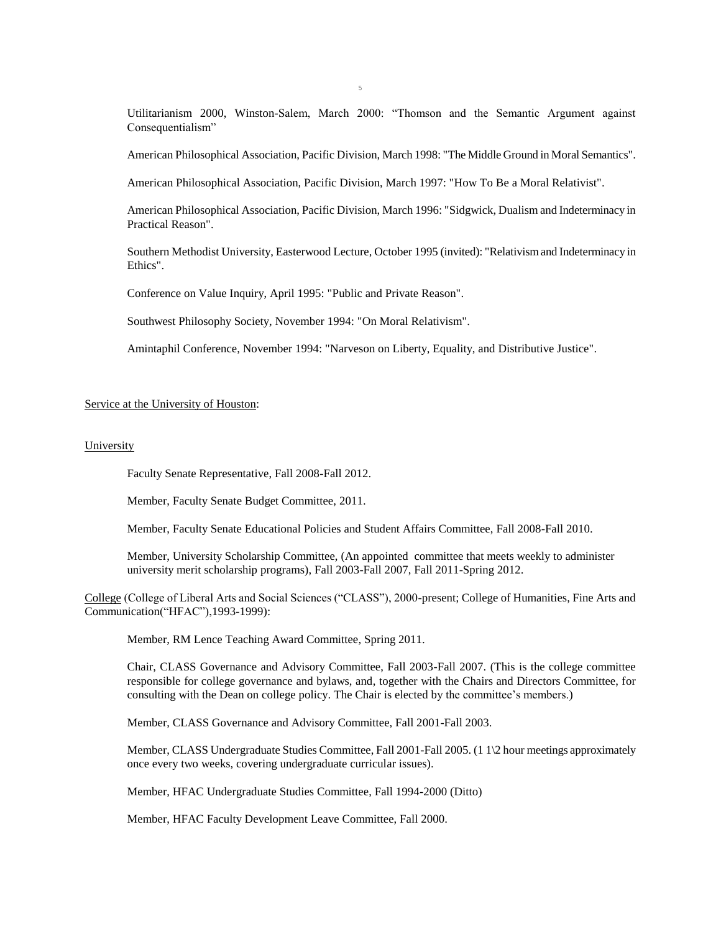Utilitarianism 2000, Winston-Salem, March 2000: "Thomson and the Semantic Argument against Consequentialism"

American Philosophical Association, Pacific Division, March 1998: "The Middle Ground in Moral Semantics".

American Philosophical Association, Pacific Division, March 1997: "How To Be a Moral Relativist".

American Philosophical Association, Pacific Division, March 1996: "Sidgwick, Dualism and Indeterminacy in Practical Reason".

Southern Methodist University, Easterwood Lecture, October 1995 (invited): "Relativism and Indeterminacy in Ethics".

Conference on Value Inquiry, April 1995: "Public and Private Reason".

Southwest Philosophy Society, November 1994: "On Moral Relativism".

Amintaphil Conference, November 1994: "Narveson on Liberty, Equality, and Distributive Justice".

#### Service at the University of Houston:

# **University**

Faculty Senate Representative, Fall 2008-Fall 2012.

Member, Faculty Senate Budget Committee, 2011.

Member, Faculty Senate Educational Policies and Student Affairs Committee, Fall 2008-Fall 2010.

Member, University Scholarship Committee, (An appointed committee that meets weekly to administer university merit scholarship programs), Fall 2003-Fall 2007, Fall 2011-Spring 2012.

College (College of Liberal Arts and Social Sciences ("CLASS"), 2000-present; College of Humanities, Fine Arts and Communication("HFAC"),1993-1999):

Member, RM Lence Teaching Award Committee, Spring 2011.

Chair, CLASS Governance and Advisory Committee, Fall 2003-Fall 2007. (This is the college committee responsible for college governance and bylaws, and, together with the Chairs and Directors Committee, for consulting with the Dean on college policy. The Chair is elected by the committee's members.)

Member, CLASS Governance and Advisory Committee, Fall 2001-Fall 2003.

Member, CLASS Undergraduate Studies Committee, Fall 2001-Fall 2005. (1 1\2 hour meetings approximately once every two weeks, covering undergraduate curricular issues).

Member, HFAC Undergraduate Studies Committee, Fall 1994-2000 (Ditto)

Member, HFAC Faculty Development Leave Committee, Fall 2000.

5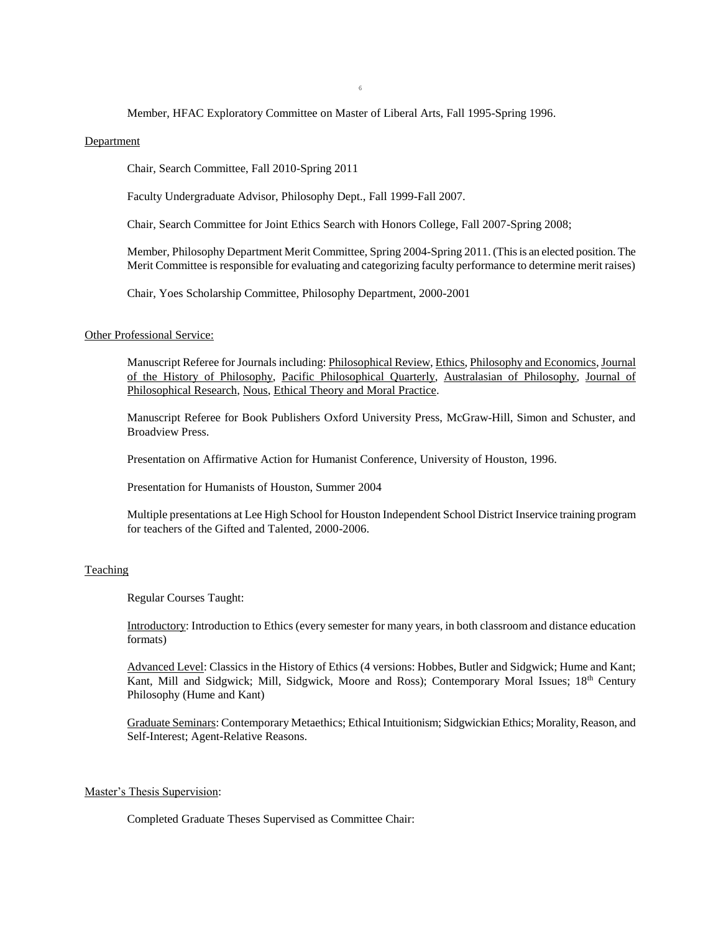### Member, HFAC Exploratory Committee on Master of Liberal Arts, Fall 1995-Spring 1996.

#### **Department**

Chair, Search Committee, Fall 2010-Spring 2011

Faculty Undergraduate Advisor, Philosophy Dept., Fall 1999-Fall 2007.

Chair, Search Committee for Joint Ethics Search with Honors College, Fall 2007-Spring 2008;

Member, Philosophy Department Merit Committee, Spring 2004-Spring 2011. (This is an elected position. The Merit Committee is responsible for evaluating and categorizing faculty performance to determine merit raises)

Chair, Yoes Scholarship Committee, Philosophy Department, 2000-2001

#### Other Professional Service:

Manuscript Referee for Journals including: Philosophical Review, Ethics, Philosophy and Economics, Journal of the History of Philosophy, Pacific Philosophical Quarterly, Australasian of Philosophy, Journal of Philosophical Research, Nous, Ethical Theory and Moral Practice.

Manuscript Referee for Book Publishers Oxford University Press, McGraw-Hill, Simon and Schuster, and Broadview Press.

Presentation on Affirmative Action for Humanist Conference, University of Houston, 1996.

Presentation for Humanists of Houston, Summer 2004

Multiple presentations at Lee High School for Houston Independent School District Inservice training program for teachers of the Gifted and Talented, 2000-2006.

# Teaching

Regular Courses Taught:

Introductory: Introduction to Ethics (every semester for many years, in both classroom and distance education formats)

Advanced Level: Classics in the History of Ethics (4 versions: Hobbes, Butler and Sidgwick; Hume and Kant; Kant, Mill and Sidgwick; Mill, Sidgwick, Moore and Ross); Contemporary Moral Issues; 18<sup>th</sup> Century Philosophy (Hume and Kant)

Graduate Seminars: Contemporary Metaethics; Ethical Intuitionism; Sidgwickian Ethics; Morality, Reason, and Self-Interest; Agent-Relative Reasons.

#### Master's Thesis Supervision:

Completed Graduate Theses Supervised as Committee Chair: